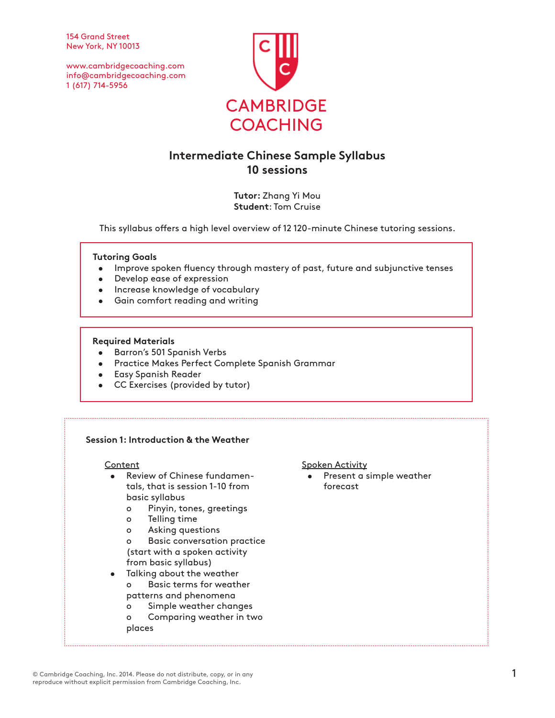154 Grand Street New York, NY 10013

www.cambridgecoaching.com info@cambridgecoaching.com 1 (617) 714-5956



# **Intermediate Chinese Sample Syllabus 10 sessions**

**Tutor:** Zhang Yi Mou **Student**: Tom Cruise

This syllabus offers a high level overview of 12 120-minute Chinese tutoring sessions.

## **Tutoring Goals**

- Improve spoken fluency through mastery of past, future and subjunctive tenses
- Develop ease of expression
- Increase knowledge of vocabulary
- Gain comfort reading and writing

### **Required Materials**

- Barron's 501 Spanish Verbs
- Practice Makes Perfect Complete Spanish Grammar
- Easy Spanish Reader
- CC Exercises (provided by tutor)

## **Session 1: Introduction & the Weather**

### **Content**

- Review of Chinese fundamentals, that is session 1-10 from basic syllabus
	- o Pinyin, tones, greetings
	- o Telling time
	- o Asking questions
	- o Basic conversation practice (start with a spoken activity from basic syllabus)
- Talking about the weather o Basic terms for weather patterns and phenomena
	- o Simple weather changes
	- o Comparing weather in two
	- places

Spoken Activity

Present a simple weather forecast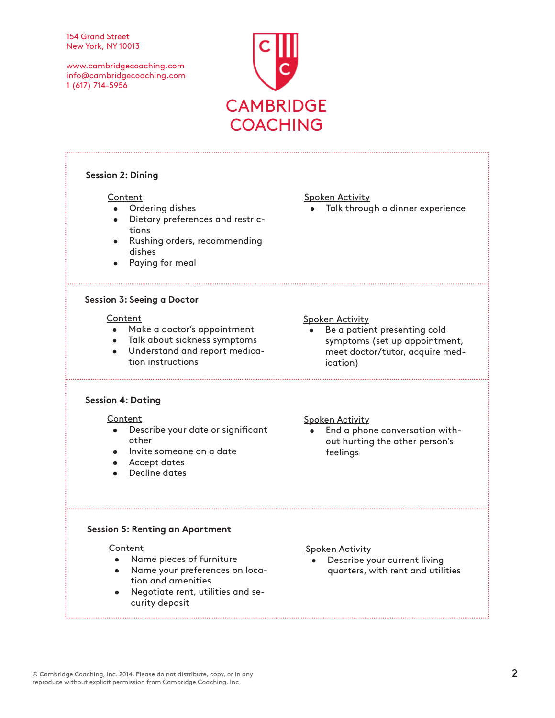#### 154 Grand Street New York, NY 10013

www.cambridgecoaching.com info@cambridgecoaching.com 1 (617) 714-5956



| <b>Session 2: Dining</b>                                                                                                                                          |                                                                                                                                                |
|-------------------------------------------------------------------------------------------------------------------------------------------------------------------|------------------------------------------------------------------------------------------------------------------------------------------------|
| Content<br>Ordering dishes<br>Dietary preferences and restric-<br>tions<br>Rushing orders, recommending<br>dishes<br>Paying for meal                              | <b>Spoken Activity</b><br>Talk through a dinner experience                                                                                     |
| <b>Session 3: Seeing a Doctor</b>                                                                                                                                 |                                                                                                                                                |
| Content<br>Make a doctor's appointment<br>$\bullet$<br>· Talk about sickness symptoms<br>Understand and report medica-<br>$\bullet$<br>tion instructions          | <b>Spoken Activity</b><br>Be a patient presenting cold<br>symptoms (set up appointment,<br>meet doctor/tutor, acquire med-<br><i>ication</i> ) |
| <b>Session 4: Dating</b>                                                                                                                                          |                                                                                                                                                |
| Content<br>Describe your date or significant<br>other<br>Invite someone on a date<br><b>Accept dates</b><br>Decline dates                                         | <b>Spoken Activity</b><br>End a phone conversation with-<br>out hurting the other person's<br>feelings                                         |
| <b>Session 5: Renting an Apartment</b>                                                                                                                            |                                                                                                                                                |
| Content<br>Name pieces of furniture<br>$\bullet$<br>• Name your preferences on loca-<br>tion and amenities<br>Negotiate rent, utilities and se-<br>curity deposit | <b>Spoken Activity</b><br>Describe your current living<br>quarters, with rent and utilities                                                    |